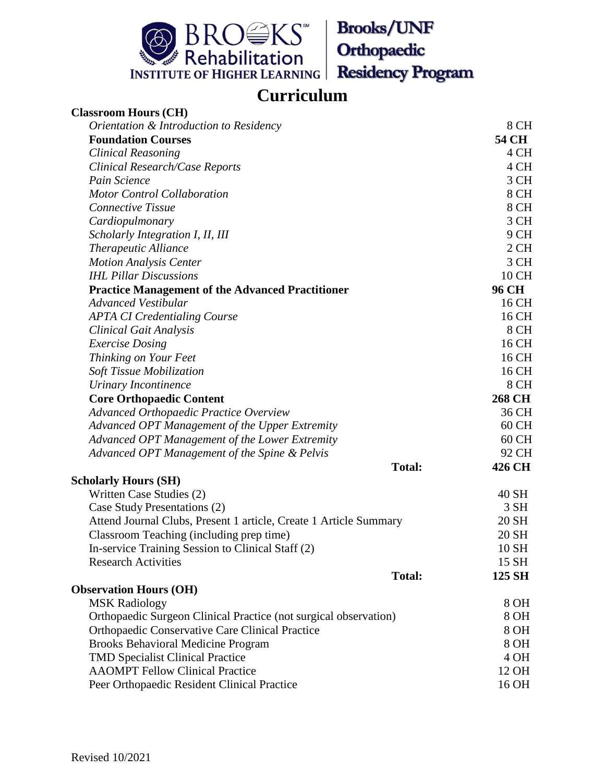

## **Curriculum**

| <b>Classroom Hours (CH)</b>                                       |               |
|-------------------------------------------------------------------|---------------|
| Orientation & Introduction to Residency                           | 8 CH          |
| <b>Foundation Courses</b>                                         | 54 CH         |
| <b>Clinical Reasoning</b>                                         | 4 CH          |
| Clinical Research/Case Reports                                    | 4 CH          |
| Pain Science                                                      | 3 CH          |
| <b>Motor Control Collaboration</b>                                | 8 CH          |
| <b>Connective Tissue</b>                                          | 8 CH          |
| Cardiopulmonary                                                   | 3 CH          |
| Scholarly Integration I, II, III                                  | 9 CH          |
| <b>Therapeutic Alliance</b>                                       | 2CH           |
| <b>Motion Analysis Center</b>                                     | 3 CH          |
| <b>IHL Pillar Discussions</b>                                     | 10 CH         |
| <b>Practice Management of the Advanced Practitioner</b>           | <b>96 CH</b>  |
| <b>Advanced Vestibular</b>                                        | 16 CH         |
| <b>APTA CI Credentialing Course</b>                               | 16 CH         |
| <b>Clinical Gait Analysis</b>                                     | 8 CH          |
| <b>Exercise Dosing</b>                                            | 16 CH         |
| Thinking on Your Feet                                             | 16 CH         |
| <b>Soft Tissue Mobilization</b>                                   | 16 CH         |
| <b>Urinary Incontinence</b>                                       | 8 CH          |
| <b>Core Orthopaedic Content</b>                                   | <b>268 CH</b> |
| <b>Advanced Orthopaedic Practice Overview</b>                     | 36 CH         |
| Advanced OPT Management of the Upper Extremity                    | 60 CH         |
| Advanced OPT Management of the Lower Extremity                    | 60 CH         |
| Advanced OPT Management of the Spine & Pelvis                     | 92 CH         |
| <b>Total:</b>                                                     | 426 CH        |
| <b>Scholarly Hours (SH)</b>                                       |               |
| Written Case Studies (2)                                          | 40 SH         |
| Case Study Presentations (2)                                      | 3 SH          |
| Attend Journal Clubs, Present 1 article, Create 1 Article Summary | 20 SH         |
| Classroom Teaching (including prep time)                          | 20 SH         |
| In-service Training Session to Clinical Staff (2)                 | 10 SH         |
| <b>Research Activities</b>                                        | 15 SH         |
| <b>Total:</b>                                                     | 125 SH        |
| <b>Observation Hours (OH)</b>                                     |               |
| <b>MSK Radiology</b>                                              | 8 OH          |
| Orthopaedic Surgeon Clinical Practice (not surgical observation)  | 8 OH          |
| <b>Orthopaedic Conservative Care Clinical Practice</b>            | 8 OH          |
| <b>Brooks Behavioral Medicine Program</b>                         | 8 OH          |
| <b>TMD Specialist Clinical Practice</b>                           | 4 OH          |
| <b>AAOMPT Fellow Clinical Practice</b>                            | 12 OH         |
| Peer Orthopaedic Resident Clinical Practice                       | 16 OH         |